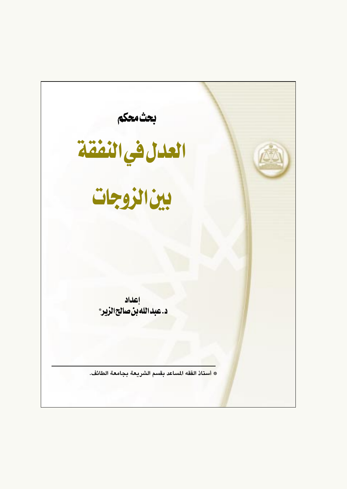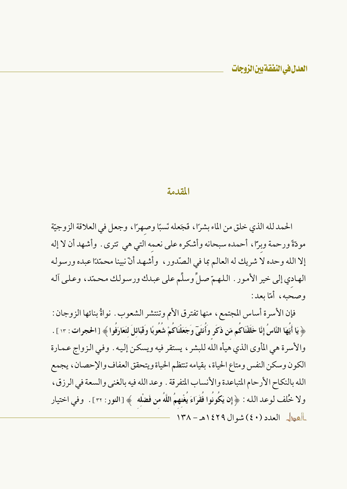### المقدمة

الحمد لله الذي خلق من الماء بشرًا ، فَجَعله نَسبًا وصهرًا ، وجعل في العلاقة الزوجيّة مودّةً ورحمة وبرًا، أحمده سبحانه وأشكره على نعمه التي هي تترى . وأشهد أن لا إله إلا الله وحده لا شريك له العالم بما في الصّدور ، وأشهد أنّ نبينا محمّدًا عبده ورسوله الهادي إلى خير الأمور . اللهمّ صلٌّ وسلِّم على عبدك ورسولك محمّد، وعلى آله وصحبه، أمّا بعد:

فإن الأسرة أساس المجتمع، منها تفترق الأمم وتنتشر الشعوب . نواةُ بنائها الزوجان : ﴿ يَا أَيُّهَا النَّاسُ إِنَّا خَلَقْنَاكُم مّن ذَكَر وَأُنثَىٓ وَجَعَلْنَاكُمْ شُعُوبًا وَقَبَائلَ لتَعَارَفُوا ﴾ [الحجرات : ١٣ ] . والأسرة هي المأوى الذي هيأه الله للبشر ، يستقر فيه ويسكن إليه . وفي الزواج عمارة الكون وسكن النفس ومتاع الحياة ، بقيامه تنتظم الحياة ويتحقق العفاف والإحصان ، يجمع الله بالنكاح الأرحام المتباعدة والأنساب المتفرقة . وعد الله فيه بالغنى والسعة في الرزق ، ولا خُلف لوعد الله : ﴿ إِن يَكُونُوا فُقَرَاءَ يُغْنِهِمُ اللَّهُ مِن فَضْلِه ﴾ [النور : ٣٢] . ۖ وفي اختيار العطل العدد (٤٠) شوال ١٤٢٩هـ - ١٣٨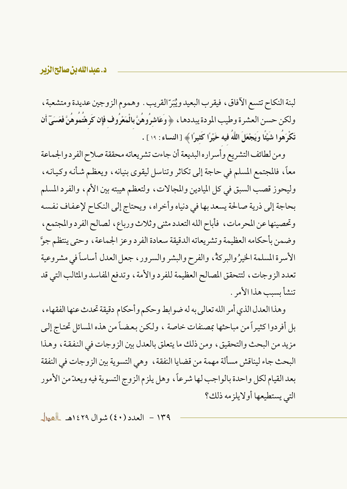### د.عبدالله بن صالحالزیر

لبنة النكاح تتسع الآفاق، فيقرب البعيد ويُبَرّ القريب . وهموم الزوجين عديدة ومتشعبة ، ولكن حسن العشرة وطيب المودة يبددها ، ﴿ وَعَاشِرُوهُنَّ بِالْمَعْرُوفِ فَإِن كَرِهْتُمُوهُنَّ فَعَسَىٓ أَن تَكْرَهُوا شَيْئًا وَيَجْعَلَ اللَّهُ فيه خَيْرًا كَثيرًا ﴾ [النساء : ١٩ ] .

ومن لطائف التشريع وأسراره البديعة أن جاءت تشريعاته محققة صلاح الفرد والجماعة معاً، فالمجتمع المسلم في حاجة إلى تكاثر وتناسل ليقوى بنيانه، ويعظم شأنه وكيانه، وليحوز قصب السبق في كل الميادين والمجالات، ولتعظم هيبته بين الأمم، والفرد المسلم بحاجة إلى ذرية صالحة يسعد بها في دنياه وأخراه، ويحتاج إلى النكاح لإعفاف نفسه وتحصينها عن المحرمات، فأباح الله التعدد مثنى وثلاث ورباع، لصالح الفرد والمجتمع، وضمن بأحكامه العظيمة وتشريعاته الدقيقة سعادة الفرد وعز الجماعة ، وحتى ينتظم جوَّ الأسرة المسلمة الخيرُ والبركةُ، والفرح والبشر والسرور ، جعل العدل أساساً في مشروعية تعدد الزوجات، لتتحقق المصالح العظيمة للفرد والأمة، وتدفع المفاسد والمثالب التي قد تنشأ يسب هذا الأمر .

وهذا العدل الذي أمر الله تعالى به له ضو ابط وحكم وأحكام دقيقة تحدث عنها الفقهاء ، بل أفردوا كثيراً من مباحثها بمصنفات خاصة ، ولكن بعضاً من هذه المسائل تحتاج إلى مزيد من البحث والتحقيق، ومن ذلك ما يتعلق بالعدل بين الزوجات في النفقة، وهذا البحث جاء ليناقش مسألة مهمة من قضايا النفقة ، وهي التسوية بين الزوجات في النفقة بعد القيام لكل واحدة بالواجب لها شرعاً، وهل يلزم الزوج التسوية فيه ويعدّ من الأمور التي يستطيعها أولايلز مه ذلك؟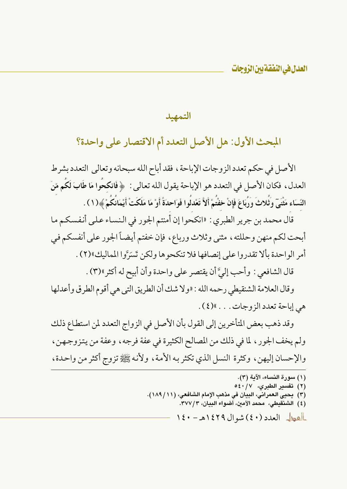التمهيد

# المبحث الأول: هل الأصل التعدد أم الاقتصار على واحدة؟

الأصل في حكم تعدد الزوجات الإباحة ، فقد أباح الله سبحانه وتعالى التعدد بشرط العدل، فكان الأصل في التعدد هو الإباحة يقول الله تعالى : ﴿ فَانكحُوا مَا طَابَ لَكُم مِّنَ النِّسَاء مَثْنَيّ وثَلاثَ وَرُبَاعَ فَإِنْ خفْتُمْ أَلاَّ تَعْدلُوا فَوَاحدَةً أَوْ مَا مَلَكَتْ أَيْمَانَكُمْ ﴾(١ ) .

قال محمد بن جرير الطبري : «انكحوا إن أمنتم الجور في النساء على أنفسكم ما أبحت لكم منهن وحللته ، مثنى وثلاث ورباع ، فإن خفتم أيضاً الجور على أنفسكم في أمر الواحدة بألا تقدروا على إنصافها فلا تنكحوها ولكن تَسَرَّوا المماليك»(٢) .

قال الشافعي : وأحب إليَّ أن يقتصر على واحدة وأن أبيح له أكثر ١٣) .

وقال العلامة الشنقيطي رحمه الله : «ولا شك أن الطريق التي هي أقوم الطرق وأعدلها هي إباحة تعدد الزوجات . . . »(٤).

وقد ذهب بعض المتأخرين إلى القول بأن الأصل في الزواج التعدد لمن استطاع ذلك ولم يخف الجور ، لما في ذلك من المصالح الكثيرة في عفة فرجه ، وعفة من يتزوجهن ، والإحسان إليهن، وكثرة النسل الذي تكثر به الأمة، ولأنه ﷺ تزوج أكثر من واحدة،

(١) سورة النساء، الآية (٣).

- (٢) تفسير الطبري، ٤٠/٧ه
- (٣) يحيى العمراني، البيان في مذهب الإمام الشافعي، (١١/ ١٨٩).
	- (٤) الشنقيطي، محمد الأمين، أضواء البيان، ٣٧٧/٣.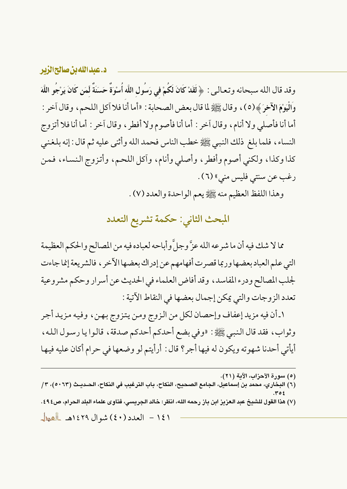د.عبدالله بن صالح الزبر وقد قال الله سبحانه وتعالى : ﴿ لَقَدْ كَانَ لَكُمْ فِي رَسُولِ اللَّهِ أُسْوَةٌ حَسَنَةٌ لَّمَن كَانَ يَرْجُو اللَّهَ وَالْيَوْمَ الْأَخِرَ ﴾(٥)، وقال ﷺ لما قال بعض الصحابة : «أما أنا فلا آكل اللحم، وقال آخر : أما أنا فأصلي ولا أنام، وقال آخر : أما أنا فأصوم ولا أفطر ، وقال آخر : أما أنا فلا أتزوج النساء، فلما بلغ ذلك النبي ﷺ خطب الناس فحمد الله وأثنى عليه ثم قال : إنه بلغني كذا وكذا، ولكني أصوم وأفطر، وأصلي وأنام، وآكل اللحم، وأتزوج النساء، فمن رغب عن سنتي فليس مني» (٦) .

وهذا اللفظ العظيم منه ﷺ يعم الواحدة والعدد (٧) .

المبحث الثاني: حكمة تشريع التعدد

مما لا شك فيه أن ما شرعه الله عزَّ وجلَّ وأباحه لعباده فيه من المصالح والحكم العظيمة التي علم العباد بعضها وربما قصرت أفهامهم عن إدراك بعضها الآخر ، فالشريعة إنما جاءت لجلب المصالح ودرء المفاسد، وقد أفاض العلماء في الحديث عن أسرار وحكم مشروعية تعدد الزوجات والتي يمكن إجمال بعضها في النقاط الآتية :

١ـ أن فيه مزيد إعفاف وإحصان لكل من الزوج ومن يتزوج بهن، وفيه مزيد أجر وثواب، فقد قال النبي ﷺ: «وفي بضع أحدكم أحدكم صدقة، قالوا يا رسول الله، أيأتي أحدنا شهوته ويكون له فيها أجر؟ قال: أرأيتم لو وضعها في حرام أكان عليه فيها

(٦) البخاري، محمد بن إسماعيل، الجامع الصحيح، النكاح، باب الترغيب في النكاح، الحـديـث (٥٠٦٣)، ٣/

(٧) هذا القول للشيخ عبد العزيز ابن باز رحمه الله، انظر: خالد الجريسي، فتاوى علماء البلد الحرام، ص٤٩٤.

<sup>(</sup>٥) سورة الأحزاب، الآية (٢١).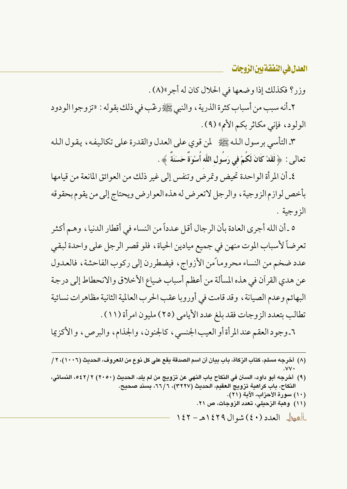وزر؟ فكذلك إذا وضعها في الحلال كان له أجر »(٨) .

٢ـ أنه سبب من أسباب كثرة الذرية ، والنبي ﷺ رغّبٍ في ذلك بقوله : «تزوجوا الودود الولود، فإني مكاثر بكم الأمم» (٩).

٣ـ التأسي بر سول الله ﷺ لمن قوى على العدل والقدرة على تكاليفه ، يقول الله تعالى : ﴿ لَقَدْ كَانَ لَكُمْ فِى رَسُولِ اللَّه أُسْوَةٌ حَسَنَةٌ ﴾ .

٤ـ أن المرأة الواحدة تحيض وتمرض وتنفس إلى غير ذلك من العوائق المانعة من قيامها بأخص لوازم الزوجية ، والرجل لاتعرض له هذه العوارض ويحتاج إلى من يقوم بحقوقه الزوجية .

٥ ـ أن الله أجرى العادة بأن الر جال أقل عدداً من النساء في أقطار الدنيا ، وهـم أكثر تعرضاً لأسباب الموت منهن في جميع ميادين الحياة، فلو قصر الرجل على واحدة لبقى عدد ضخم من النساء محروماً من الأزواج، فيضطررن إلى ركوب الفاحشة، فالعدول عن هدي القرآن في هذه المسألة من أعظم أسباب ضياع الأخلاق والانحطاط إلى درجة البهائم وعدم الصيانة ، وقد قامت في أوروبا عقب الحرب العالمية الثانية مظاهر ات نسائية تطالب بتعدد الزوجات فقد بلغ عدد الأيامي (٢٥) مليون امر أة (١١) .

٦ـ وجود العقم عند المرأة أو العيب الجنسي، كالجنون، والجذام، والبرص، و الأكزيما

- (٨) أخرجه مسلم، كتاب الزكاة، باب بيان أن اسم الصدقة يقع على كل نوع من المعروف، الحديث (١٠٠٦)، ٢/
- (٩) أخرجه أبو داود، السنن في النكاح باب النهي عن تزويج من لم يلد، الحديث (٢٠٥٠) ٢ /٢٤٢، النسائي، النكاح، باب كراهية تزويج العقيم، الحديث (٣٢٢٧)، ٦٦/٦، بسند صحيح. (١٠) سورة الأحزاب، الآية (٢١). (١١) وهبة الزحيلي، تعدد الزوجات، ص ٢١.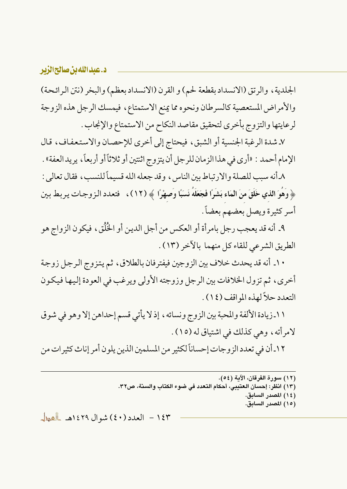الجلدية، والرتق (الانسداد بقطعة لحم) و القرن (الانسداد بعظم) والبخر (نتن الرائحة) والأمراض المستعصية كالسرطان ونحوه مما يمنع الاستمتاع، فيمسك الرجل هذه الزوجة لرعايتها والتزوج بأخرى لتحقيق مقاصد النكاح من الاستمتاع والإنجاب .

٧ـ شدة الرغبة الجنسية أو الشبق، فيحتاج إلى أخرى للإحصان والاستعفاف، قال الإمام أحمد : «أرى في هذا الزمان للرجل أن يتزوج اثنتين أو ثلاثاً أو أربعاً، يريد العفة» .

٨ أنه سبب للصلة والار تباط بين الناس ، وقد جعله الله قسيماً للنسب ، فقال تعالى : ﴿ وَهُوَ الذي خَلَقَ منَ الْمَاء بَشَرًا فَجَعَلَهُ نَسَبًا وَصهْرًا ﴾ (١٢)، فتعدد الزوجات يربط بين أسر كثيرة ويصل بعضهم بعضاً.

٩\_ أنه قد يعجب رجل بامر أة أو العكس من أجل الدين أو الخُلُق، فيكون الزواج هو الطريق الشرعي للقاء كل منهما بالآخر (١٣).

١٠ـ أنه قد يحدث خلاف بين الزوجين فيفتر فان بالطلاق، ثم يتزوج الرجل زوجة أخرى، ثم تزول الخلافات بين الرجل وزوجته الأولى ويرغب في العودة إليها فيكون التعدد حلاً لهذه المواقف (١٤).

١١ـزيادة الألفة والمحبة بين الزوج ونسائه، إذ لا يأتي قسم إحداهن إلا وهو في شوق لامرأته، وهي كذلك في اشتياق له (١٥) .

١٢ـ أن في تعدد الزوجات إحساناً لكثير من المسلمين الذين يلون أمر إناث كثيرات من

- (١٣) انظر: إحسان العتيبي، أحكام التعدد في ضوء الكتاب والسنة، ص٣٢.
	- (١٤) المصدر السابق. (١٥) المصدر السابق.

<sup>(</sup>١٢) سورة الفرقان، الآية (٥٤).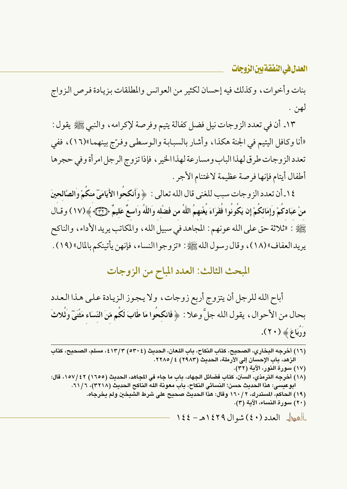بنات وأخوات، وكذلك فيه إحسان لكثير من العوانس والمطلقات بزيادة فرص الزواج لهن .

١٣. أن في تعدد الزوجات نيل فضل كفالة يتيم وفرصة لإكرامه ، والنبي ﷺ يقول : «أنا وكافل اليتيم في الجنة هكذا، وأشار بالسبابة والوسطى وفرَّج بينهما»(١٦)، ففي تعدد الزوجات طرق لهذا الباب ومسارعة لهذا الخير ، فإذا تزوج الرجل امرأة وفي حجرها أطفال أيتام فإنها فرصة عظيمة لاغتنام الأجر .

١٤.أن تعدد الزوجات سبب للغني قال الله تعالى : ﴿ وَأَنكحُوا الأَيَامَيِّ منكُمْ وَالصَّالحينَ منْ عِبَادِكُمْ وِإِمَائِكُمْ إِن يَكُونُوا فَقَرَاءَ يَغْنِهِمُ اللَّهُ من فَضْلِه وَاللَّهُ وَاسِعٌ عَليمٌ ﴿ ٢٣٣﴾ ﴾(١٧) وقبال يَبْلِيَّةِ : «ثلاثة حق على الله عونهم : المجاهد في سبيل الله ، والمكاتب يريد الأداء ، والناكح يريد العفاف» (١٨) ، وقال رسول الله ﷺ: «تزوجو االنساء ، فإنهن يأتينكم بالمال» (١٩) .

## المبحث الثالث: العدد المباح من الزوجات

أباح الله للرجل أن يتزوج أربع زوجات، ولا يجوز الزيادة على هذا العدد بحال من الأحوال ، يقو ل الله جلَّ وعلا : ﴿ فَانكحُوا مَا طَابَ لَكُم مِّنَ النِّسَاءِ مَثْنَيٍّ وَثَلاثَ وَدُبَاعَ ﴾ (٢٠).

| ١٦) أخرجه البخاري، الصحيح، كتاب النكاح، باب اللعان، الحديث (٥٣٠٤) ٤١٣/٣، مسلم، الصحيح، كتاب    |
|------------------------------------------------------------------------------------------------|
| الزهد، باب الإحسان إلى الأرملة، الحديث (٢٩٨٣) ٢٢٨٥/٤.                                          |
| ١٧) سورة النور، الآية (٣٢).                                                                    |
| ١٨) أخرجه الترمذي، السنن، كتاب فضائل الجهاد، باب ما جاء في المجاهد، الحديث (١٦٥٥) ٤٢/١٥٧، قال: |
| ابوعيسى: هذا الحديث حسن؛ النسائي النكاح، باب معونة الله الناكح الحديث (٣٢١٨)، ٦١/٦.            |
| ١٩) الحاكم، المستدرك، ٢ /١٦٠ وقال: هذا الحديث صحيح على شرط الشيخين ولم يخرجاه.                 |
| ٢٠) سورة النساء، الآية (٣).                                                                    |
| العطل العدد (٤٠) شوال ١٤٢٩هـ- ١٤٤                                                              |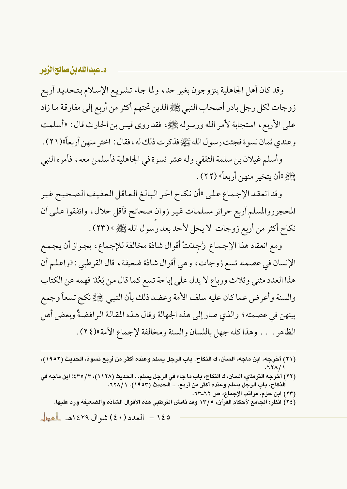#### د.عبداللهبن صالحالزير

وقد كان أهل الجاهلية يتزوجون بغير حد، ولما جاء تشريع الإسلام بتحديد أربع زوجات لكل رجل بادر أصحاب النبي ﷺ الذين تحتهم أكثر من أربع إلى مفارقة ما زاد على الأربع، استجابة لأمر الله ورسوله ﷺ، فقد روى قيس بن الحارث قال : «أسلمت وعندي ثمان نسوة فجئت رسول الله ﷺ فذكر ت ذلك له ، فقال : اختر منهن أربعاً»(٢١) .

وأسلم غيلان بن سلمة الثقفي وله عشر نسوة في الجاهلية فأسلمن معه، فأمره النبي ﷺ «أن يتخبر منهن أربعاً» (٢٢) .

وقد انعقد الإجماع على «أن نكاح الحر البالغ العاقل العفيف الصحيح غير المحجوروالمسلم أربع حرائر مسلمات غير زوان صحائح فأقل حلال، واتفقوا على أن نكاح أكثر من أربع زوجات لا يحل لأحد بعد رسول الله ﷺ» (٢٣) .

ومع انعقاد هذا الإجماع وُجِدَتْ أقوال شاذة مخالفة للإجماع، بجواز أن يجمع الإنسان في عصمته تسع زوجات، وهي أقوال شاذة ضعيفة، قال القرطبي : «واعلم أن هذا العدد مثنى وثلاث ورباع لا يدل على إباحة تسع كما قال من بَعُدَ فهمه عن الكتاب والسنة وأعرض عما كان عليه سلف الأمة وعضد ذلك بأن النبيي ﷺ نكح تسعاً وجمع بينهن في عصمته؛ والذي صار إلى هذه الجهالة وقال هذه المقالة الرافضةُ وبعض أهل الظاهر . . . وهذا كله جهل باللسان والسنة ومخالفة لإجماع الأمة»(٢٤).

- (٢١) أخرجه، ابن ماجه، السنن، ك النكاح، باب الرجل يسلم وعنده أكثر من أربع نسوة، الحديث (١٩٥٢)،  $.781/1$
- (٢٢) أخرجه الترمذي، السنن، ك النكاح، باب ما جاء في الرجل يسلم. . الحديث (١١٢٨)، ٣/ ٤٣٥؛ ابن ماجه في النكاح، باب الرجل يسلم وعنده أكثر من أربع. .. الحديث (١٩٥٣)، ٦٢٨/١.
	- (٢٣) ابن حزم، مراتب الإجماع، ص ٢٢\_٦٣.
	- (٢٤) انظر: الجامع لأحكام القرآن، ١٣/٥ وقد ناقش القرطبي هذه الأقوال الشاذة والضعيفة ورد عليها.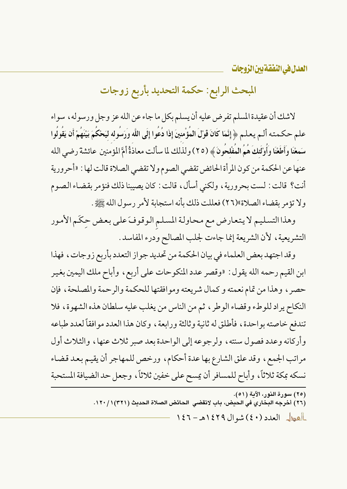المبحث الرابع: حكمة التحديد بأربع زوجات

لاشك أن عقيدة المسلم تفرض عليه أن يسلم بكل ما جاء عن الله عز وجل ورسوله ، سواء علم حكمته ألـم يعلـم ﴿ إِنَّمَا كَانَ قَوْلَ المُؤْمنينَ إِذَا دُعُوا إِلَى اللَّه وَرَسُوله ليَحْكُمَ بَيْنَهُمْ أن يَقُولُوا سَمعْنَا وَأَطَعْنَا وَأَوْلَٰئِكَ هُمُ الْمُفْلحُونَ ﴾ (٢٥) ولذلك لما سألت معاذةٌ أمَّ المؤ منين عائشة رضي الله عنها عن الحكمة من كون المرأة الحائض تقضي الصوم ولا تقضى الصلاة قالت لها : «أحرورية أنت؟ قالت : لست بحرورية ، ولكنى أسأل ، قالت : كان يصيبنا ذلك فنؤمر بقضاء الصوم ولا تؤمر بقضاء الصلاة»(٢٦) فعللت ذلك بأنه استجابة لأمر رسول الله ﷺ.

وهذا التسليم لا يتعارض مع محاولة المسلم الوقوفَ على بعض حِكَم الأمور التشريعية، لأن الشريعة إنما جاءت لجلب المصالح ودرء المفاسد.

وقد اجتهد بعض العلماء في بيان الحكمة من تحديد جو از التعدد بأربع زوجات، فهذا ابن القيم رحمه الله يقول : «وقصر عدد المنكوحات على أربع ، وأباح ملك اليمين بغير حصر ، وهذا من تمام نعمته و كمال شريعته وموافقتها للحكمة والرحمة والمصلحة ، فإن النكاح يراد للوطء وقضاء الوطر ، ثم من الناس من يغلب عليه سلطان هذه الشهوة، فلا تندفع خاصته بو احدة ، فأطلق له ثانية وثالثة ورابعة ، وكان هذا العدد موافقاً لعدد طباعه وأركانه وعدد فصول سنته، ولرجوعه إلى الواحدة بعد صبر ثلاث عنها، والثلاث أول مراتب الجمع، وقد علق الشارع بها عدة أحكام، ورخص للمهاجر أن يقيم بعد قضاء نسكه بمكة ثلاثاً، وأباح للمسافر أن يمسح على خفين ثلاثاً، وجعل حد الضيافة المستحبة

(٢٥) سورة النور، الآية (٥١). (٢٦) أخرجه البخاري في الحيض، باب لاتقضى الحائض الصلاة الحديث (٣٢١) ١ / ١٢٠. العطل العدد (٤٠) شوال ١٤٢٩هـ - ١٤٦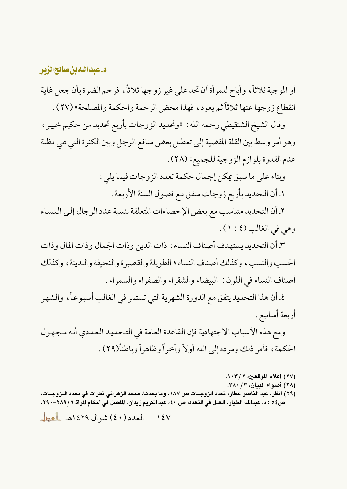### د.عبدالله بن صالح الزبر

أو الموجبة ثلاثاً، وأباح للمرأة أن تحد على غير زوجها ثلاثاً، فرحم الضرة بأن جعل غاية انقطاع زوجها عنها ثلاثاً ثم يعود، فهذا محض الرحمة والحكمة والمصلحة» (٢٧) .

وقال الشيخ الشنقيطي رحمه الله : «وتحديد الزوجات بأربع تحديد من حكيم خبير ، وهو أمر وسط بين القلة المفضية إلى تعطيل بعض منافع الرجل وبين الكثرة التي هي مظنة عدم القدرة بلوازم الزوجية للجميع» (٢٨) .

> وبناء على ما سبق يمكن إجمال حكمة تعدد الزوجات فيما يلي : ١ـ أن التحديد بأربع زوجات متفق مع فصول السنة الأربعة .

٢ـ أن التحديد متناسب مع بعض الإحصاءات المتعلقة بنسبة عدد الرجال إلى النساء وهي في الغالب (٤ : ١ ).

٣ـ أن التحديد يستهدف أصناف النساء : ذات الدين وذات الجمال وذات المال وذات الحسب والنسب، وكذلك أصناف النساء؛ الطويلة والقصيرة والنحيفة والبدينة، وكذلك أصناف النساء في اللون: البيضاء والشقراء والصفراء والسمراء.

٤ـ أن هذا التحديد يتفق مع الدورة الشهرية التي تستمر في الغالب أسبوعـاً، والشهر أربعة أسابيع .

ومع هذه الأسباب الاجتهادية فإن القاعدة العامة في التحديد العددي أنه مجهول الحكمة، فأمر ذلك ومرده إلى الله أولاً وأخراً وظاهراً وباطناً(٢٩) .

- (٢٧) إعلام الموقعين، ١٠٣/٢.
- (٢٨) أضواء البيان، ٣٨٠/٣٨٠.

<sup>(</sup>٢٩) انظر: عبد الناصر عطار، تعدد الزوجــات ص ١٨٧، وما بـعدها، محمد الزهراني نظرات في تعدد الــزوجــات، ص٤ ٥ ؛ د. عبدالله الطيار، العدل في التعدد، ص ٤٠، عبد الكريم زيدان، المفصل في أحكام الرَّاة ٦ / ٢٨٩–٢٩٠.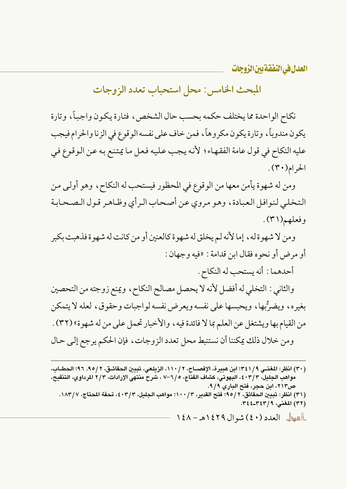المبحث الخامس: محل استحباب تعدد الزوجات

نكاح الواحدة مما يختلف حكمه بحسب حال الشخص، فتارة يكون وإجباً، وتارة يكون مندوباً، وتارة يكون مكروهاً، فمن خاف على نفسه الوقوع في الزنا والحرام فيجب عليه النكاح في قول عامة الفقهاء؛ لأنه يجب عليه فعل ما يمتنع به عن الوقوع في  $\mathcal{L}(\mathfrak{r} \cdot)$ الحرام(

ومن له شهوة يأمن معها من الوقوع في المحظور فيستحب له النكاح، وهو أولى من التخلي لنوافل العبادة، وهو مروى عن أصحاب الرأى وظاهر قول الصحابة وفعلهم(٣١).

ومن لا شهوة له، إما لأنه لم يخلق له شهوة كالعنين أو من كانت له شهوة فذهبت بكبر أو مرض أو نحوه فقال ابن قدامة : «فيه وجهان :

أحدهما : أنه يستحب له النكاح .

والثاني : التخلي له أفضل لأنه لا يحصل مصالح النكاح ، ويمنع زوجته من التحصين بغيره، ويضرُّبها، ويحبسها على نفسه ويعرض نفسه لواجبات وحقوق، لعله لا يتمكن من القيام بها ويشتغل عن العلم بما لا فائدة فيه ، والأخبار تحمل على من له شهوة» (٣٢) . ومن خلال ذلك يمكننا أن نستنبط محل تعدد الزوجات، فإن الحكم يرجع إلى حال

<sup>(</sup>٣٠) انظر: المغنـي ٩/ ٣٤١) ابن هبيرة، الإفصــاح، ٢ / ١١٠، الزيلـعي، تبيين الحقائـق، ٢ / ٩٥, ٩٦؛ الحطــاب، مواهب الجليل، ٢/٣، ٤، البهوتي، كشاف القناع، ١/٥–٧ ، شرح منتهي الإرادات، ٢/٣ المرداوي، التنقيح، ص٢١٣، ابن حجر، فتح الباري ٩/٩.

<sup>(</sup>٣١) انظر: تبيين الحقائق، ٢ / ٩٥؛ ۚ فتح القدير، ٣ / ١٠٠؛ مواهب الجليل، ٤٠٣/٣، تحفة المحتاج، ١٨٣/٧. (٣٢) المغنى، ٣٤٤-٤٤٣.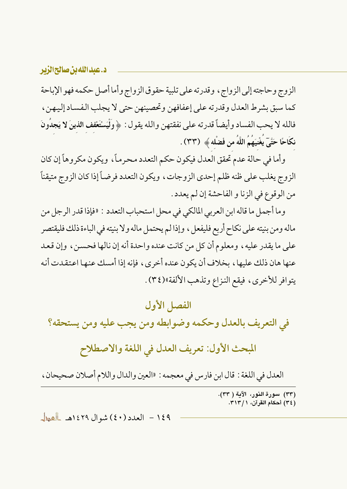### د.عبدالله بن صالحالزیر

الزوج وحاجته إلى الزواج ، وقدرته على تلبية حقوق الزواج وأما أصل حكمه فهو الإباحة كما سبق بشرط العدل وقدرته على إعفافهن وتحصينهن حتى لا يجلب الفساد إليهن، فالله لا يحب الفساد وأيضاً قدرته على نفقتهن والله يقول : ﴿ وَلْيَسْتَعْفِفِ الذينَ لا يَجدُونَ نكَاحًا حَتَّىٓ يُغْنِيَهُمُ اللَّهُ من فَضْله ﴾ (٣٣) .

وأما في حالة عدم تحقق العدل فيكون حكم التعدد محرماً، ويكون مكروهاً إن كان الزوج يغلب على ظنه ظلم إحدى الزوجات، ويكون التعدد فرضاً إذا كان الزوج متيقناً من الوقوع في الزنا و الفاحشة إن لم يعدد .

وما أجمل ما قاله ابن العربي المالكي في محل استحباب التعدد : «فإذا قدر الرجل من ماله ومن بنيته على نكاح أربع فليفعل، وإذا لم يحتمل ماله ولا بنيته في الباءة ذلك فليقتصر على ما يقدر عليه ، ومعلوم أن كل من كانت عنده واحدة أنه إن نالها فحسن ، وإن قعد عنها هان ذلك عليها ، بخلاف أن يكون عنده أخرى ، فإنه إذا أمسك عنها اعتقدت أنه يتوافر للأخرى، فيقع النزاع وتذهب الألفة»(٣٤).

### الفصل الأول

في التعريف بالعدل وحكمه وضوابطه ومن يجب عليه ومن يستحقه؟

المبحث الأول: تعريف العدل في اللغة والاصطلاح

العدل في اللغة : قال ابن فارس في معجمه : «العين والدال واللام أصلان صحيحان ،

(٣٣) سورة النور، الآية ( ٣٣). (٣٤) أحكام القرآن، ٣١٣/١.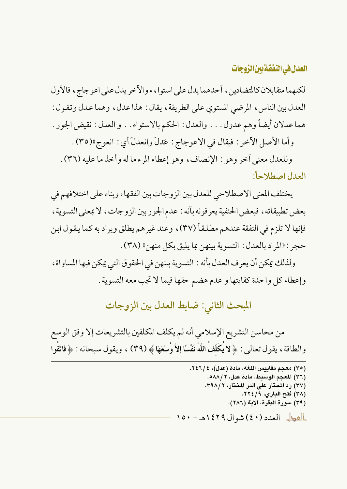لكنهما متقابلان كالمتضادين ، أحدهما يدل على استوا ، ء والآخر يدل على اعوجاج ، فالأول العدل بين الناس، المرضى المستوى على الطريقة، يقال: هذا عدل، وهما عدل وتقول: هما عدلان أيضاً وهم عدول . . . والعدل: الحكم بالاستواء . . و العدل: نقيض الجور .

وأما الأصل الآخر : فيقال في الاعوجاج : عَدلَ وانعدلَ أي : انعوجِ»(٣٥) .

وللعدل معنى أخر وهو : الإنصاف، وهو إعطاء المرء ما له وأخذ ما عليه (٣٦) . العدل اصطلاحاً:

يختلف المعنى الاصطلاحي للعدل بين الزوجات بين الفقهاء وبناء على اختلافهم في بعض تطبيقاته ، فبعض الحنفية يعرفونه بأنه : عدم الجوربين الزوجات ، لا بمعنى التسوية ، فإنها لا تلزم في النفقة عندهم مطلقاً (٣٧)، وعند غير هم يطلق ويراد به كما يقول ابن حجر : «المراد بالعدل : التسوية بينهن بما يليق بكل منهن» (٣٨) .

ولذلك يمكن أن يعرف العدل بأنه : التسوية بينهن في الحقوق التي يمكن فيها المساواة ، وإعطاء كل واحدة كفايتها و عدم هضم حقها فيما لا تجب معه التسوية .

المبحث الثاني: ضابط العدل بين الزوجات

من محاسن التشريع الإسلامي أنه لم يكلف المكلفين بالتشريعات إلا وفق الوسع والطاقة ، يقول تعالى : ﴿ لا يُكَلِّفُ اللَّهُ نَفْسًا إِلاَّ وُسْعَهَا ﴾ (٣٩) ، ويقول سبحانه : ﴿ فَاتَّقُوا

> (٣٥) معجم مقاييس اللغة، مادة (عدل)، ٢٤٦/٤. (٣٦) المعجم الوسيط، مادة عدل، ٢ / ٥٨٨. (٣٧) رد المحتار علي الدر المختار، ٣٩٨/٢. (٣٨) فتح الباري، ٢٢٤/٩. (٣٩) سورة البقرة، الآية (٢٨٦). العطل العدد (٤٠) شوال ١٤٢٩هـ - ١٥٠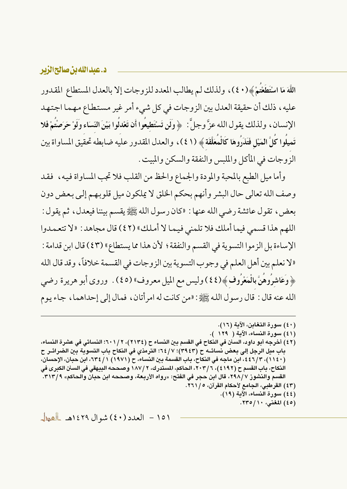### د.عبدالله بن صالح الزير

اللَّهَ مَا اسْتَطَعْتُمْ﴾(٤٠)، ولذلك لم يطالب المعدد للزوجات إلا بالعدل المستطاع المقدور عليه، ذلك أن حقيقة العدل بين الزوجات في كل شيء أمرٍ غيرٍ مستطاعٍ مهما اجتهد الإنسان، ولذلك يقول الله عزَّ وجلَّ: ﴿ وَلَن تَسْتَطِيعُوا أَن تَعْدَلُوا بَيْنَ النِّسَاء وَلَوْ حَرَصْتُمْ فَلا تَميلُوا كُلَّ الْمَيْلِ فَتَذَرُوهَا كَالْمُعَلَّقَةِ ﴾ (٤١)، والعدل المقدور عليه ضابطه تحقيق المساواة بين الزوجات في المأكل والملبس والنفقة والسكن والمبيت .

وأما ميل الطبع بالمحبة والمودة والجماع والحظ من القلب فلا تجب المساواة فيه، فقد وصف الله تعالى حال البشر وأنهم بحكم الخلق لا يملكون ميل قلوبهم إلى بعض دون بعض ، تقول عائشة رضي الله عنها : «كان رسول الله ﷺ يقسم بيننا فيعدل ، ثم يقول : اللهم هذا قسمي فيما أملك فلا تلمني فيما لا أملك» (٤٢) قال مجاهد: «لا تتعمدوا الإساءة بل الزموا التسوية في القسم والنفقة ؛ لأن هذا مما يستطاع» (٤٣) قال ابن قدامة : «لا نعلم بين أهل العلم في وجوب التسوية بين الزوجات في القسمة خلافاً، وقد قال الله ﴿وَعَاشِرُوهُنَّ بِالْمَعْرُوفِ ﴾(٤٤) وليس مع الميل معروف» (٤٥) . ۖ وروى أبو هريرة رضي الله عنه قال : قال رسول الله ﷺ : «من كانت له امر أتان ، فمال إلى إحداهما ، جاء يوم

- (٤٠) سورة التغابن، الآية (١٦). (٤١) سورة النساء، الآية ( ١٢٩ ).
- (٤٢) أخرجه أبو داود، السنن في النكاح في القسم بين النساء ح (٢١٣٤)، ٢٠١/٢؛ النسائي في عشرة النساء، باب ميل الرجل إلى بعض نسائــه ح (٣٩٤٣)؛ ٢/ ٦٤: الترمذي في النكاح باب التسوية بين الضرائــر ح (١١٤٠)، ٢ /٤٤٦، ابن ماجه في النكاح، باب القسمة بين النساء، ح (١٩٧١) ١ / ٢٣٤، ابن حبان، الإحسان، النكاح، باب القسم ح (٤١٩٢)، ٢٠٣/٦، الحاكم، المستدرك، ٢ /١٨٧ وصححه البيهقي في السنن الكبرى في القسم والنشوز ٢٩٨/٧، قال ابن حجر في الفتح: «رواه الأربعة، وصححه ابن حبان والحاكم» ٣١٣/٩. (٤٣) القرطبي، الجامع لأحكام القرآن، ١/ ٢٦١.
	- (٤٤) سورة النساء، الآية (١٩).
		- (٤٥) المغنى، ١١/ ٢٣٥.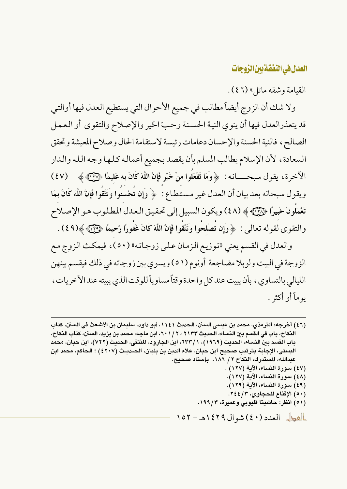القيامة وشقه مائل » (٤٦).

ولا شك أن الزوج أيضاً مطالب في جميع الأحوال التي يستطيع العدل فيها أوالتي قد يتعذرالعدل فيها أن ينوى النية الحسنة وحبّ الخير والإصلاح والتقوى أو العمل الصالح، فالنية الحسنة والإحسان دعامات رئيسة لاستقامة الحال وصلاح المعيشة وتحقق السعادة، لأن الإسلام يطالب المسلم بأن يقصد بجميع أعماله كلها وجه الله والدار الآخرة، يقول سبحـــــانـه: ﴿ وَمَا تَفْعَلُوا مِنْ خَيْرٍ فَإِنَّ اللَّهَ كَانَ بِهِ عَليمًا ﴿ 37) ﴾ ﴿ (٤٧) ويقول سبحانه بعد بيان أن العدل غير مستطاع : ﴿ وَإِن تُحْسِنُوا وَتَتَّقُوا فَإِنَّ اللَّهَ كَانَ بِمَا تَعْمَلُونَ خَبِيرًا ۞۞﴾ (٤٨) ويكون السبيل إلى تحقيق العدل المطلوب هو الإصلاح والتقوى لقوله تعالى : ﴿ وَإِن تُصْلحُوا وَتَتَّقُوا فَإِنَّ اللَّهَ كَانَ غَفُورًا رَّحِيمًا ﴿لَآيَا ﴾(٤٩) .

والعدل في القسم يعني «توزيع الزمان على زوجاته» (٥٠)، فيمكث الزوج مع الزوجة في البيت ولوبلا مضاجعة أونوم (٥١) ويسوى بين زوجاته في ذلك فيقسم بينهن الليالي بالتساوي ، بأن يبيت عند كل واحدة وقتاً مساوياً للو قت الذي يبيته عند الأخريات ، يو ماً أو أكثر .

(٤٦) أخرجه: الترمذي، محمد بن عيسى السنن، الحديث ١١٤١، أبو داود، سليمان بن الأشعث في السنن، كتاب النكاح، باب في القسم بين النساء، الحديث ٢٠١٣٢، ٢٠١/٢، ابن ماجه، محمد بن يزيد، السنن، كتاب النكاح، باب القسم بين النساء، الحديث (١٩٦٩)، ١ /٦٣٣، ابن الجارود، المنتقى، الحديث (٧٢٢)، ابن حبان، محمد البِستي، الإجابة بترتيب صحيح ابن حبان، علاء الدين بن بلبان، الحـديـث (٤٢٠٧) ؛ الحاكم، محمد ابن عبدالله، المستدرك، النكاح ٢ / ١٨٦. بإسناد صحيح. (٤٧) سورة النساء، الآية (١٢٧) . (٤٨) سورة النساء، الآية (١٢٧). (٤٩) سورة النساء، الآية (١٢٩). (٥٠) الإقناع للحجاوي، ٢٤٤/٣. (٥١) انظر: حاشيتا قليوبي وعميرة، ١٩٩/٣. العطل العدد (٤٠) شوال ١٤٢٩هـ - ١٥٢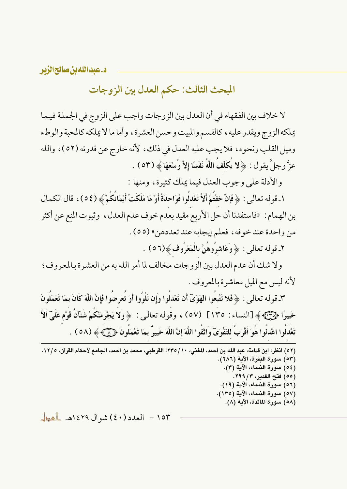د.عبدالله بن صالحالزیر

المبحث الثالث: حكم العدل بين الزوجات

لا خلاف بين الفقهاء في أن العدل بين الزوجات واجب على الزوج في الجملة فيما يملكه الزوج ويقدر عليه ، كالقسم والمبيت وحسن العشرة ، وأما ما لا يملكه كالمحبة والوطء وميل القلب ونحوه، فلا يجب عليه العدل في ذلك، لأنه خارج عن قدرته (٥٢)، والله عزَّ وجلَّ يقول: ﴿ لا يَكَلَّفُ اللَّهُ نَفْسًا إِلاَّ وُسْعَهَا ﴾ (٥٣) .

والأدلة على وجوب العدل فيما يملك كثيرة، ومنها :

١ ـ قوله تعالى : ﴿ فَإِنْ خِفْتُمْ أَلاَّ تَعْدلُوا فَوَاحِدَةً أَوْ مَا مَلَكَتْ أَيْمَانُكُمْ ﴾ (٥٤) ، قال الكمال بن الهمام : «فاستفدنا أن حل الأربع مقيد بعدم خوف عدم العدل ، وثبوت المنع عن أكثر من واحدة عند خوفه، فعلم إيجابه عند تعددهن» (٥٥) .

٢ـ قوله تعالى : ﴿ وَعَاشِرُوهُنَّ بِالْمَعْرُوفِ﴾(٥٦) .

ولا شك أن عدم العدل بين الزوجات مخالف لما أمر الله به من العشرة بالمعروف؛ لأنه ليس مع الميل معاشرة بالمعروف .

٣ـ قوله تعالى : ﴿ فَلا تَتَّبِعُوا الْهَوَىَ أَن تَعْدلُوا وَإِن تَلْوُوا أَوْ تُعْرِضُوا فَإِنَّ اللَّهَ كَانَ بمَا تَعْمَلُونَ خَبيرًا ۞ ۞ ﴾ [النساء : ١٣٥] (٥٧) ، وقوله تعالى: ﴿وَلَا يَجْرِمَنَّكُمْ شَنَانُ قَوْمٍ عَلَىٓ أَلاَّ تَعْدلُوا اعْدلُوا هُوَ أَقْرَبُ للتَّقْوَىٓ وَاتَّقُوا اللَّهَ إِنَّ اللَّهَ خَبيرٌ بمَا تَعْمَلُونَ ﴿ ۞﴾ ﴾ (٥٨ ) .

| (٥٢) انظر: ابن قدامة، عبد الله بن أحمد، المغني، ١٠/ ٢٣٥؛ القرطبي، محمد بن أحمد، الجامع لأحكام القرآن، ١٢/٠. |  |
|-------------------------------------------------------------------------------------------------------------|--|
| (٥٣) سورة البقرة، الآية (٢٨٦).                                                                              |  |
| (٥٤) سورة النساء، الآية (٣).                                                                                |  |
| (٥٥) فتح القدير، ٢٩٩/٣.                                                                                     |  |
| (٥٦) سورة النساء، الآية (١٩).                                                                               |  |
| (٥٧) سورة النساء، الآية (١٣٥).                                                                              |  |
| (٥٨) سورة المائدة، الآية (٨).                                                                               |  |
|                                                                                                             |  |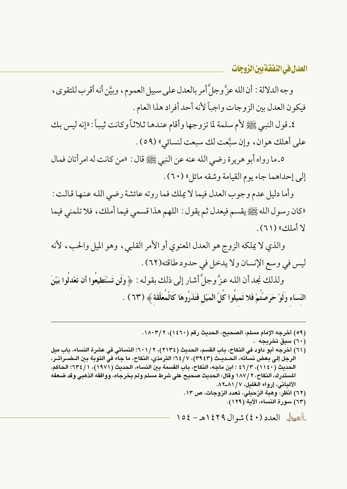وجه الدلالة : أن الله عزَّ وجلَّ أمر بالعدل على سبيل العموم، وبيَّن أنه أقرب للتقوى، فيكون العدل بين الزوجات واجباً لأنه أحد أفراد هذا العام .

٤ـ قول النبي ﷺ لأم سلمة لما تزوجها وأقام عندهـا ثلاثاً وكانت ثيباً : «إنه ليس بك على أهلك هوان، وإن سبَّعت لك سبعت لنسائي» (٥٩) .

٥\_ ما رواه أبو هرير ة رضي الله عنه عن النبي ﷺ قال : «من كانت له امر أتان فمال إلى إحداهما جاء يوم القيامة وشقه مائل» (٦٠) .

وأما دليل عدم وجوب العدل فيما لا يملك فما روته عائشة رضي الله عنها قالت : «كان رسول الله ﷺ يقسم فيعدل ثم يقول : اللهم هذا قسمي فيما أملك ، فلا تلمني فيما لا أملك» (٦١).

والذي لا يملكه الزوج هو العدل المعنوي أو الأمر القلبي، وهو الميل والحب، لأنه ليس في وسع الإنسان ولا يدخل في حدود طاقته(٦٢) .

ولذلك نجد أن الله عزَّ وجلَّ أشار إلى ذلك بقوله : ﴿ وَلَن تَسْتَطِيعُوا أَن تَعْدلُوا بَيْنَ النّسَاء ولَوْ حَرَصتْمْ فَلا تَميلُوا كُلَّ الْمَيْلِ فَتَذَرُوهَا كَالْمُعَلَّقَة ﴾ (٦٣) .

(٥٩) أخرجه الإمام مسلم، الصحيح، الحديث رقم (١٤٦٠)، ١٨٠٣/٢.

(٦٠) سبق تخريجه .

(٦١) أخرجه أبو داود في النكاح، باب القسم، الحديث (٢١٣٤)، ٢٠١/٢؛ النسائي في عشرة النساء، باب ميل الرجل إلى بعض نسائه، الحـديـث (٣٩٤٣)، ٦٤/٧: الترمذي، النكاح، ما جاء في التوبة بين الـضـرائـر، الحديث (١١٤٠)، ٢/٢٤ ؛ ابن ماجه، النكاح، باب القسمة بين النساء، الحديث (١٩٧١)، ١/ ٦٣٤؛ الحاكم، المستدرك، النكاح، ٢ /١٨٧ وقال: الحديث صحيح على شرط مسلم ولم يخرجاه، ووافقه الذهبي وقد ضعفه الألباني، إرواء الغليل، ١٧/ ٨٦-٨٢. (٦٢) انظر: وهبة الزحيلي، تعدد الزوجات، ص ١٣. (٦٣) سورة النساء، الآية (١٢٩).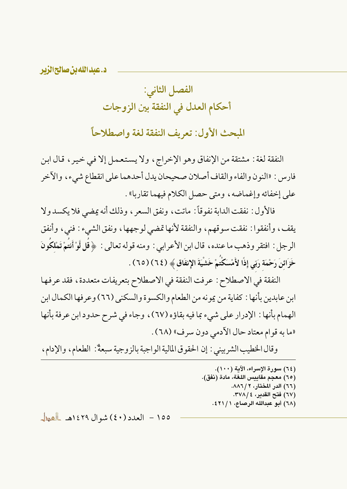د.عبدالله بن صالح الزبر

# الفصل الثاني: أحكام العدل في النفقة بين الزوجات

المبحث الأول: تعريف النفقة لغة واصطلاحاً

النفقة لغة : مشتقة من الإنفاق وهو الإخراج، ولا يستعمل إلا في خير ، قال ابن فارس : «النون والفاء والقاف أصلان صحيحان يدل أحدهما على انقطاع شيء ، والآخر على إخفائه وإغماضه، ومتى حصل الكلام فيهما تقاربا» .

فالأول : نفقت الدابة نفوقاً : ماتت، ونفق السعر ، وذلك أنه يمضي فلا يكسد ولا يقف، وأنفقوا : نفقت سوقهم، والنفقة لأنها تمضي لوجهها، ونفق الشيء : فني، وأنفق الرجل : افتقر وذهب ما عنده ، قال ابن الأعرابي : ومنه قوله تعالى : ﴿ قُل لَّوْ أَنتُمْ تَمْلَكُونَ خَزَائنَ رَحْمَة رَبّي إِذًا لأَمْسَكْتُمْ خَشْيَةَ الإِنفَاقِ ﴾ (٢٤) (٦٥) .

النفقة في الاصطلاح : عرفت النفقة في الاصطلاح بتعريفات متعددة، فقد عرفها ابن عابدين بأنها : كفاية من يمو نه من الطعام والكسوة والسكني (٦٦) وعر فها الكمال ابن الهمام بأنها : الإدرار على شيء بما فيه بقاؤه (٦٧)، وجاء في شرح حدود ابن عرفة بأنها «ما به قوام معتاد حال الأدمى دون سرف» (٦٨) .

وقال الخطيب الشربيني : إن الحقوق المالية الواجبة بالزوجية سبعةٌ: الطعام، والإدام،

(٦٤) سورة الإسراء، الآية (١٠٠). (٦٥) معجم مقاييس اللغة، مادة (نفق). (٦٦) الدر المختار، ٢ / ٨٨٦. (٦٧) فتح القدير، ٢٧٨/٤. (٦٨) أبو عبدالله الرصاع، ١ / ٤٢١.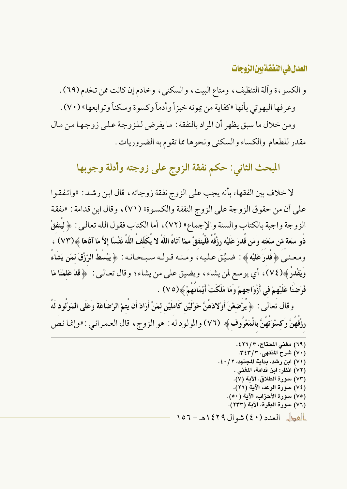و الكسو ، ة وألة التنظيف ، ومتاع البيت ، والسكني ، وخادم إن كانت ممن تخدم (٦٩) . وعرفها البهوتي بأنها «كفاية من يمونه خبزاً وأدماً وكسوة وسكناً وتوابعها» (٧٠) . ومن خلال ما سبق يظهر أن المراد بالنفقة : ما يفرض للزوجة على زوجها من مال مقدر للطعام والكساء والسكني ونحوها مما تقوم به الضروريات.

المبحث الثاني: حكم نفقة الزوج على زوجته وأدلة وجوبها

لا خلاف بين الفقهاء بأنه يجب على الزوج نفقة زوجاته ، قال ابن رشد : «واتفقوا على أن من حقو ق الزوجة على الزوج النفقة والكسوة» (٧١) ، وقال ابن قدامة : «نفقة الزوجة واجبة بالكتاب والسنة والإجماع» (٧٢)، أما الكتاب فقول الله تعالى : ﴿ لِيُنفَقَّ ذَو سَعَة مّن سَعَته وَمَن قُدرَ عَلَيْه رِزْقَهُ فَلْيُنفقْ ممَّا آتَاهُ اللَّهُ لا يُكَلّفُ اللَّهُ نَفْسًا إلأَ مَا آتَاهَا ﴾(٧٣) ، ومعنـي ﴿ قَدرَ عَلَيْه ﴾ : ضـيِّق عـليـه، ومـنـه قـولـه سـبـحـانـه : ﴿ يَبْسُطُ الرّزْقَ لمَن يَشَاءُ وَيَقْدُرُ ﴾(٧٤)، أي يوسع لمن يشاء، ويضيق على من يشاء؛ وقال تعالىي : ﴿قَدْ عَلَمْنَا مَا فَرَضْنَا عَلَيْهِمْ في أَزْوَاجِهِمْ وَمَا مَلَكَتْ أَيْمَانَهُمْ ﴾(٧٥) .

وقال تعالى : ﴿ يُرْضعْنَ أَوْلادَهُنَّ حَوْلَيْنِ كَاملَيْنِ لمَنْ أَرَادَ أَن يُتمَّ الرَّضَاعَةَ وَعَلَى المَوْلُود لَهُ رزْقُهُنَّ وَكِسْوَتُهُنَّ بِالْمَعْرُوف ﴾ (٧٦) والمولود له : هو الزوج ، قال العـمـرانـي : «وإنمـا نـص

|                                   |                                      | (٦٩) مغنى المحتاج، ٢٦/٣٤.      |  |
|-----------------------------------|--------------------------------------|--------------------------------|--|
|                                   |                                      | (٧٠) شرح المنتهي، ٣٤٣/٣.       |  |
|                                   | (٧١) ابن رشد، بداية المجتهد، ٢ / ٤٠. |                                |  |
|                                   |                                      | (٧٢) انظر: ابن قدامة، المغنى . |  |
|                                   |                                      | (٧٣) سورة الطلاق، الآية (٧).   |  |
|                                   |                                      | (٧٤) سورة الرعد، الآية (٢٦).   |  |
|                                   | (٧٥) سورة الأحزاب، الآية (٥٠).       |                                |  |
|                                   | (٧٦) سورة البقرة، الآية (٢٣٣).       |                                |  |
| العطل العدد (٤٠) شوال ١٤٢٩هـ - ٥٦ |                                      |                                |  |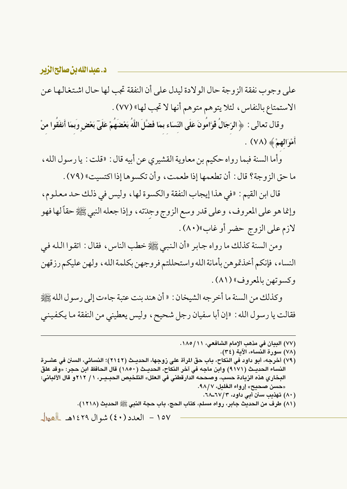على وجوب نفقة الزوجة حال الولادة ليدل على أن النفقة تجب لها حال اشتغالها عن الاستمتاع بالنفاس، لئلا يتوهم متوهم أنها لا تجب لها» (٧٧).

وقال تعالى : ﴿ الرِّجَالُ قَوَّامُونَ عَلَى النِّسَاء بِمَا فَضَّلَ اللَّهُ بَعْضَهُمْ عَلَىٓ بَعْضٍ وبمَا أنفَقُوا منْ أَمْوَالِهِمْ ﴾ (٧٨) .

وأما السنة فبما رواه حكيم بن معاوية القشيري عن أبيه قال : «قلت : يا رسول الله ، ما حق الزوجة؟ قال : أن تطعمها إذا طعمت ، وأن تكسو ها إذا اكتسبت» (٧٩) .

قال ابن القيم : «في هذا إيجاب النفقة والكسوة لها ، وليس في ذلك حد معلوم ، وإنما هو على المعروف، وعلى قدر وسع الزوج وجدَته، وإذا جعله النبي ﷺ حقاً لها فهو لازم على الزوج حضر أو غاب»(٨٠).

ومن السنة كذلك ما رواه جابر «أن النبي ﷺ خطب الناس ، فقال : اتقوا الله في النساء، فإنكم أخذتموهن بأمانة الله واستحللتم فروجهن بكلمة الله، ولهن عليكم رزقهن وكسوتهن بالمعروف» (٨١) .

وكذلك من السنة ما أخرجه الشيخان : « أن هند بنت عتبة جاءت إلى رسول الله ﷺ فقالت يا رسول الله : «إن أبا سفيان رجل شحيح ، وليس يعطيني من النفقة ما يكفيني

- (٧٧) البيان في مذهب الإمام الشافعي، ١١/ ١٨٥.
	- (٧٨) سورة النساء، الآية (٣٤).
- (٧٩) أخرجه، أبو داود في النكاح، باب حقِّ المرأة على زوجها، الحديـث (٢١٤٢)؛ النسائي، السنن في عشـرة النساء الحديـث (٩١٧١) وابن ماجه في آخر النكاح، الحديـث (١٨٥٠) قال الحافظ ابن حجر: «وقد علق البخاري هذه الزيادة حسب، وصححه الدارقطني في العلل» التلخيص الحبـيـر، ١ / ٢١٢ و قال الألباني: «حسن صحيح» إرواء الغليل، ٩٨/٧.
	- (۸۰) تهذيب سنن أبي داود، ١٧/٦-٦٨.
	- (٨١) طرف من الحديث جابر، رواه مسلم، كتاب الحج، باب حجة النبي ﷺ الحديث (١٢١٨).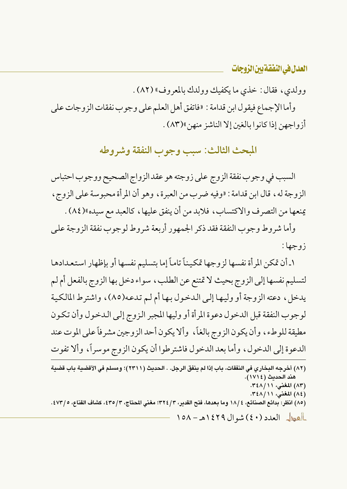وولدي، فقال: خذي ما يكفيك وولدك بالمعروف» (٨٢).

وأما الإجماع فيقول ابن قدامة : «فاتفق أهل العلم على وجوب نفقات الزوجات على أزواجهن إذا كانوا بالغين إلا الناشز منهن»(٨٣) .

المحث الثالث: سبب وجوب النفقة وشروطه

السبب في وجوب نفقة الزوج على زوجته هو عقد الزواج الصحيح ووجوب احتباس الزوجة له ، قال ابن قدامة : «وفيه ضرب من العبرة، وهو أن المرأة محبوسة على الزوج ، يمنعها من التصرف والاكتساب، فلابد من أن ينفق عليها، كالعبد مع سيده»(٨٤).

وأما شروط وجوب النفقة فقد ذكر الجمهور أربعة شروط لوجوب نفقة الزوجة على زوجها :

١ـ أن تمكن المرأة نفسها لزوجها تمكيناً تاماً إما بتسليم نفسها أو بإظهار استعدادها لتسليم نفسها إلى الزوج بحيث لا تمتنع عن الطلب ، سواء دخل بها الزوج بالفعل أم لـم يدخل، دعته الزوجة أو وليها إلى الدخول بها أم لم تدعه(٨٥)، واشترط المالكية لوجوب النفقة قبل الدخول دعوة المرأة أو وليها المجبر الزوج إلى الدخول وأن تكون مطيقة للو طء، وأن يكون الزوج بالغاً، وألا يكون أحد الزوجين مشر فأعلى الموت عند الدعوة إلى الدخول، وأما بعد الدخول فاشتر طوا أن يكون الزوج موسراً، وألا تفوت

(٨٢) أخرجه البخاري في النفقات، باب إذا لم ينفق الرجل. . الحديث (٢٣١١)؛ ومسلم في الأقضية باب قضية هند الحديث (١٧١٤). (٨٣) المغنى، ٢٤٨/١١. (٨٤) المغنى، ٢٤٨/١١. (٨٥) انظر: بدائع الصنائع، ٤ /١٨ وما بعدها، فتح القدير، ٣ / ٣٢٤؛ مغنى المحتاج، ٣ / ٤٣٥، كشاف القناع، ٥ / ٤٧٣ . <u>||هول</u> العدد (٤٠) شوال ١٤٢٩هـ - ١٥٨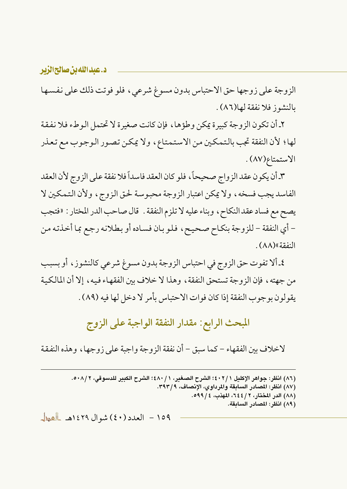د.عبداللهبن صالحالزير

الزوجة على زوجها حق الاحتباس بدون مسوغ شرعي، فلو فوتت ذلك على نفسها بالنشوز فلا نفقة لها(٨٦).

٢ـ أن تكون الزوجة كبيرة يمكن وطؤها، فإن كانت صغيرة لا تحتمل الوطء فلا نفقة لها؛ لأن النفقة تجب بالتمكين من الاستمتاع، ولا يمكن تصور الوجوب مع تعذر الاستمتاع(٨٧).

٣ـ أن يكون عقد الزواج صحيحاً، فلو كان العقد فاسداً فلا نفقة على الزوج لأن العقد الفاسد يجب فسخه، ولا يمكن اعتبار الزوجة محبوسة لحق الزوج، ولأن التمكين لا يصح مع فساد عقد النكاح ، وبناء عليه لا تلزم النفقة . قال صاحب الدر المختار : «فتجب – أي النفقة – للزوجة بنكاح صحيح، فلو بان فساده أو بطلانه رجع بما أخذته من النفقة»(٨٨).

٤ـ ألا تفوت حق الزوج في احتباس الزوجة بدون مسوغ شرعي كالنشوز ، أو بسبب من جهته ، فإن الزوجة تستحق النفقة ، وهذا لا خلاف بين الفقهـاء فيه ، إلا أن المالكية يقولون بوجوب النفقة إذا كان فوات الاحتباس بأمر لا دخل لها فيه (٨٩) .

المبحث الرابع: مقدار النفقة الواجبة على الزوج

لاخلاف بين الفقهاء – كما سبق – أن نفقة الزوجة واجبة على زوجها ، وهذه النفقة

- (٨٧) انظر: المصادر السابقة والمرداوي، الإنصاف، ٣٩٣/٩.
	- (٨٨) الدر المختار، ٢ / ٢٤٤، المهذب، ٤ / ٥٩٩.
		- (٨٩) انظر: المصادر السابقة.

<sup>(</sup>٨٦) انظر: جواهر الإكليل ٤٠٢/١؛ الشرح الصغير، ١ / ٤٨٠)؛ الشرح الكبير للدسوقي، ٥٠٨/٢.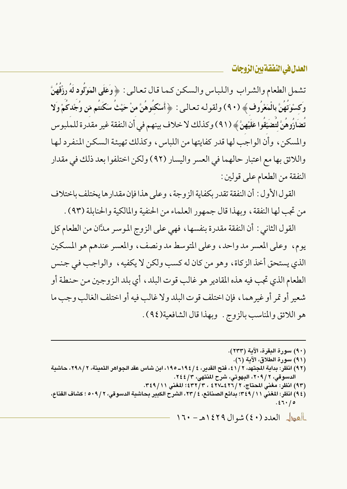تشمل الطعام والشراب واللباس والسكن كما قال تعالى: ﴿ وَعَلَى الْمَوْلُودِ لَهُ رِزْقُهُنَّ وَكِسْوَتَهُنَّ بِالْمَعْرُوفِ﴾ (٩٠) ولقوله تعالى: ﴿أَسْكَنُوهُنَّ منْ حَيْثُ سَكَنتُم مّن وُجْدكُمْ وَلا تضَارُّوهُنَّ لتضيَّقوا عَلَيْهِنَّ ﴾ (٩١) وكذلك لا خلاف بينهم في أن النفقة غير مقدرة للملبوس والمسكن ، وأن الواجب لها قدر كفايتها من اللباس ، وكذلك تهيئة السكن المنفرد لها واللائق بها مع اعتبار حالهما في العسر واليسار (٩٢) ولكن اختلفوا بعد ذلك في مقدار النفقة من الطعام على قولين:

القول الأول : أن النفقة تقدر بكفاية الزوجة ، وعلى هذا فإن مقدارها يختلف باختلاف من تجب لها النفقة ، ويهذا قال جمهور العلماء من الحنفية والمالكية والحنابلة (٩٣) .

القول الثاني : أن النفقة مقدرة بنفسها ، فهي على الزوج الموسر مدَّان من الطعام كل يوم، وعلى المعسر مدواحد، وعلى المتوسط مدونصف، والمعسر عندهم هو المسكين الذي يستحق أخذ الزكاة، وهو من كان له كسب ولكن لا يكفيه، والواجب في جنس الطعام الذي تجب فيه هذه المقادير هو غالب قوت البلد ، أي بلد الزوجين من حنطة أو شعير أو تمر أو غير هما، فإن اختلف قوت البلد ولا غالب فيه أو اختلف الغالب وجب ما هو اللائق والمناسب بالزوج . وبهذا قال الشافعية(٩٤) .

(٩٠) سورة البقرة، الآية (٢٣٣). (٩١) سورة الطلاق، الآية (٦). (٩٢) انظر: بداية المجتهد، ٢ /٤١، فتح القدير، ٤ /١٩٤\_١٩٥، ابن شاس عقد الجواهر الثمينة، ٢ /٢٩٨، حاشية الدسوقي، ٢ / ٢٠٩، البهوتي، شرح المنتهي، ٢٤٤/٣. (٩٣) انظر: مغني المحتاج، ٢ /٤٢٦-٤٢٧ ، ٣ /٤٣٢؛ المغني ٣٤٩/١١. (٩٤) انظر: المغنى ٢٤٩/١١؛ بدائع الصنائع، ٤ /٢٣، الشرح الكبير بحاشية الدسوقي، ٢ / ٥٠٩ ؛ كشاف القناع،  $.27.70$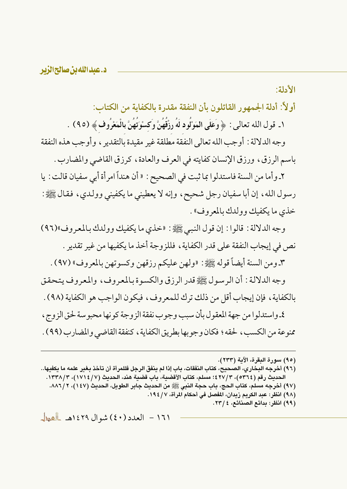الأدلة:

أولاً: أدلة الجمهو ر القائلون بأن النفقة مقدرة بالكفاية من الكتاب:

١ ـ قول الله تعالى : ﴿ وَعَلَى الْمَوْلُود لَهُ رِزْقُهُنَّ وَكسْوَتُهُنَّ بِالْمَعْرُوف ﴾ (٩٥) .

وجه الدلالة : أوجب الله تعالى النفقة مطلقة غير مقيدة بالتقدير ، وأوجب هذه النفقة

باسم الرزق، ورزق الإنسان كفايته في العرف والعادة، كرزق القاضي والمضارب .

٢ـ وأما من السنة فاستدلوا بما ثبت في الصحيح : « أن هنداً امرأة أبي سفيان قالت : يا رسول الله، إن أبا سفيان رجل شحيح، وإنه لا يعطيني ما يكفيني وولدي، فقال ﷺ: خذي ما يكفيك وولدك بالمعروف» .

وجه الدلالة : قالوا : إن قول النبي ﷺ: «خذى ما يكفيك وولدك بالمعروف»(٩٦) نص في إيجاب النفقة على قدر الكفاية ، فللزوجة أخذ ما يكفيها من غير تقدير .

٣ـ ومن السنة أيضاً قوله ﷺ: «ولهن عليكم رزقهن وكسوتهن بالمعروف» (٩٧) .

وجه الدلالة : أن الرسول ﷺ قدر الرزق والكسوة بالمعروف، والمعروف يتحقق بالكفاية، فإن إيجاب أقل من ذلك ترك للمعروف، فيكون الواجب هو الكفاية (٩٨) .

٤ـ واستدلو ا من جهة المعقول بأن سبب وجوب نفقة الز وجة كو نها محبو سة لحق الز وج ، ممنوعة من الكسب، لحقه ؛ فكان وجوبها بطريق الكفاية ، كنفقة القاضي والمضارب (٩٩) .

- (٩٧) أخرجه مسلم، كتاب الحج، باب حجة النبي ﷺ من الحديث جابر الطويل، الحديث (١٤٧)، ٨٨٦/٢.
	- (٩٨) انظر: عبد الكريم زيدان، المفصل في أحكام المرأة، ١٩٤/٧.
		- (٩٩) انظر: بدائع الصنائع، ٤ /٢٣.

<sup>(</sup>٩٥) سورة البقرة، الآية (٢٣٣).

<sup>(</sup>٩٦) أخرجه البخاري، الصحيح، كتاب النفقات، باب إذا لم ينفق الرجل فللمرأة أن تأخذ بغير علمه ما يكفيها.. الحديث رقم (٥٣٦٤)، ٢٧/٢)؛ مسلم، كتاب الأقضية، باب قضية هند، الحديث (١٧١٤/٧)، ١٣٣٨/٣.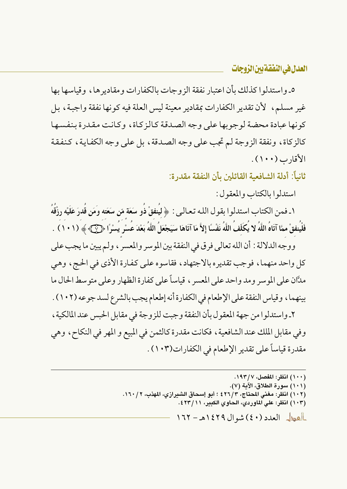٥\_ واستدلوا كذلك بأن اعتبار نفقة الزوجات بالكفارات ومقاديرها، وقياسها بها غير مسلم، ۖ لأن تقدير الكفارات بمقادير معينة ليس العلة فيه كونها نفقة واجبة، بل كونها عبادة محضة لوجوبها على وجه الصدقة كالزكاة، وكانت مقدرة بنفسها كالزكاة، ونفقة الزوجة لم تجب على وجه الصدقة، بل على وجه الكفاية، كنفقة الأقاد ب (١٠٠) .

ثانياً: أدلة الشافعية القائلين بأن النفقة مقدر ة:

استدلوا بالكتاب والمعقول:

١ـ فمن الكتاب استدلوا بقول الله تعـالـي : ﴿ لِيُنفقْ ذُو سَعَة مّن سَعَته وَمَن قُدرَ عَلَيْه رزْقُهُ فَلْيُنفقْ ممَّا آتَاهُ اللَّهُ لا يُكَلّفُ اللَّهُ نَفْسًا إلاَّ مَا آتَاهَا سَيَجْعَلُ اللَّهُ بَعْدَ عُسْر يُسْرًا ﴿كِي ﴾ (١٠١) .

ووجه الدلالة : أن الله تعالى فرق في النفقة بين الموسر والمعسر ، ولم يبين ما يجب على كل واحد منهما، فوجب تقديره بالاجتهاد، فقاسوه على كفارة الأذى في الحج، وهي مدَّان على الموسر ومد واحد على المعسر ، قياساً على كفارة الظهار وعلى متوسط الحال ما بينهما، وقياس النفقة على الإطعام في الكفارة أنه إطعام يجب بالشرع لسد جوعه (١٠٢) .

٢ـ واستدلوا من جهة المعقول بأن النفقة وجبت للزوجة في مقابل الحبس عند المالكية ، وفي مقابل الملك عند الشافعية ، فكانت مقدرة كالثمن في المبيع و المهر في النكاح ، وهي مقدرة قياساً على تقدير الإطعام في الكفارات(١٠٣) .

(١٠٠) انظر: المفصل، ١٩٣/٧. (١٠١) سورة الطلاق، الآية (٧). (١٠٢) انظر: مغنى المحتاج، ٤٢٦/٣ ؛ أبو إسحاق الشيرازي، المهذب، ١٦٠/٢. (١٠٣) انظر: على الماوردي، الحاوي الكبير، ٤٢٣/١١.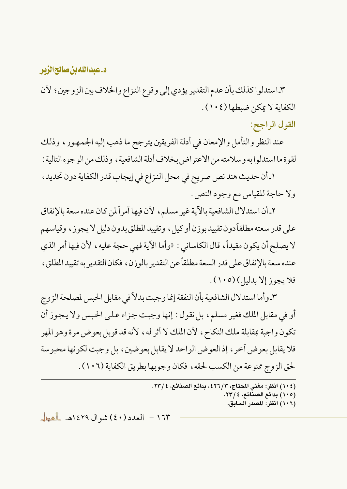### د.عبدالله بن صالح الزبر

٣ـ استدلوا كذلك بأن عدم التقدير يؤدي إلى وقوع النزاع والخلاف بين الزوجين ؛ لأن الكفاية لا يمكن ضبطها (١٠٤).

### القول الراجح:

عند النظر والتأمل والإمعان في أدلة الفريقين يترجح ما ذهب إليه الجمهور، وذلك لقوة ما استدلوا به وسلامته من الاعتراض بخلاف أدلة الشافعية ، وذلك من الو جو ه التالية :

١ـ أن حديث هند نص صريح في محل النزاع في إيجاب قدر الكفاية دون تحديد، ولا حاجة للقياس مع وجود النص.

٢ـ أن استدلال الشافعية بالآية غير مسلم، لأن فيها أمراً لمن كان عنده سعة بالإنفاق علم ٍ قدر سعته مطلقاً دون تقييد بوزن أو كيل ، وتقييد المطلق بدون دليل لا يجوز ، وقياسهم لا يصلح أن يكون مقيداً، قال الكاساني : «وأما الآية فهي حجة عليه، لأن فيها أمر الذي عنده سعة بالإنفاق على قدر السعة مطلقاً عن التقدير بالوزن، فكان التقدير به تقييد المطلق، فلا يجوز إلا بدليل) (١٠٥).

٣ـ وأما استدلال الشافعية بأن النفقة إنما وجبت بدلاً في مقابل الحبس لمصلحة الزوج أو في مقابل الملك فغير مسلم، بل نقول: إنها وجبت جزاء على الحبس ولا يجوز أن تكون واجبة بمقابلة ملك النكاح، لأن الملك لا أثر له، لأنه قد قوبل بعوض مرة وهو المهر فلا يقابل بعو ض آخر ، إذ العو ض الواحد لا يقابل بعو ضين ، بل وجبت لكو نها محبوسة لحق الزوج ممنوعة من الكسب لحقه ، فكان وجوبها بطريق الكفاية (١٠٦) .

> (١٠٤) انظر: مغنى المحتاج، ٤٢٦/٣، بدائع الصنائع، ٢٣/٤. (١٠٥) بدائع الصنائع، ٢٣/٤. (١٠٦) انظر: المصدر السابق.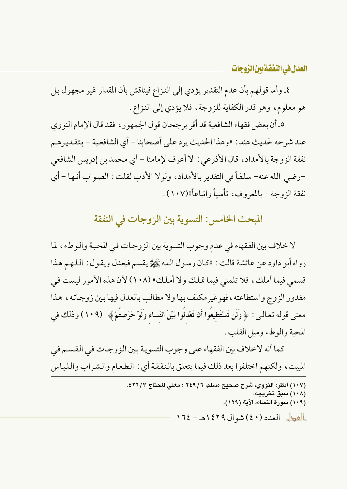### العدل <u>في النفقة بين</u> الزوجات

٤ـ وأما قولهم بأن عدم التقدير يؤدي إلى النزاع فيناقش بأن المقدار غير مجهول بل هو معلوم، وهو قدر الكفاية للزوجة، فلا يؤدي إلى النزاع .

٥\_ أن بعض فقهاء الشافعية قد أقر برجحان قول الجمهور ، فقد قال الإمام النووي عند شرحه لحديث هند : «وهذا الحديث يرد على أصحابنا – أي الشافعية – بتقدير هم نفقة الزوجة بالأمداد، قال الأذرعي : لا أعرف لإمامنا – أي محمد بن إدريس الشافعي –رضي الله عنه– سلفاً في التقدير بالأمداد ، ولو لا الأدب لقلت : الصواب أنها – أي نفقة الزوجة – بالمعروف، تأسياً وإتباعاً»(١٠٧) .

## المبحث الخامس: التسوية بين الزوجات في النفقة

لا خلاف بين الفقهاء في عدم وجوب التسوية بين الزوجات في المحبة والوطء، لما رواه أبو داود عن عائشة قالت : «كان رسول الله ﷺ يقسم فيعدل ويقول : اللهم هذا قسمي فيما أملك، فلا تلمني فيما تملك ولا أملك» (١٠٨) لأن هذه الأمور ليست في مقدور الزوج واستطاعته ، فهوغير مكلف بها ولا مطالب بالعدل فيها بين زوجاته ، هذا معنى قوله تعالىي : ﴿ وَلَن تَسْتَطِيعُوا أَن تَعْدَلُوا بَيْنَ النِّسَاءِ وَلَوْ حَرَصْتُمْ﴾ (١٠٩) وذلك في المحبة والوطء وميل القلب .

كما أنه لاخلاف بين الفقهاء على وجوب التسوية بين الزوجات في القسم في المبيت، ولكنهم اختلفوا بعد ذلك فيما يتعلق بالنفقة أي : الطعام والشراب واللباس

> .<br>(١٠٧) انظر: النووي، شرح صحيح مسلم، ٢ / ٢٤٩ ؛ مغنى المحتاج ٤٢٦/٣ ٤. (۱۰۸) سبق تخریجه. (١٠٩) سورة النساء، الآية (١٢٩). العطل العدد (٤٠) شوال ١٤٢٩هـ - ١٦٤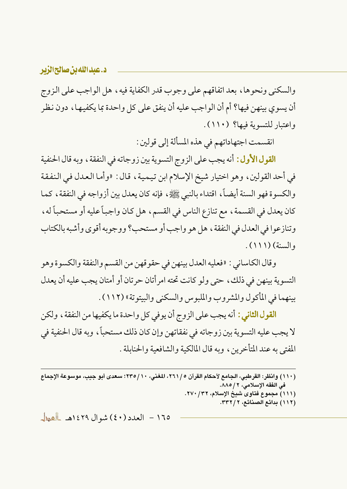#### د.عبداللهبن صالحالزير

والسكني ونحوها، بعد اتفاقهم على وجوب قدر الكفاية فيه، هل الواجب على الزوج أن يسوى بينهن فيها؟ أم أن الو اجب عليه أن ينفق على كل و احدة بما يكفيها ، دون نظر واعتبار للتسوية فيها؟ (١١٠).

انقسمت اجتهاداتهم في هذه المسألة إلى قولين :

**القول الأول :** أنه يجب على الزوج التسوية بين زوجاته في النفقة ، وبه قال الحنفية في أحد القولين، وهو اختيار شيخ الإسلام ابن تيمية، قال : «وأما العدل في النفقة والكسوة فهو السنة أيضاً، اقتداء بالنبي ﷺ، فإنه كان يعدل بين أزواجه في النفقة، كما كان يعدل في القسمة ، مع تنازع الناس في القسم ، هل كان واجباً عليه أو مستحباً له ، وتنازعوا في العدل في النفقة ، هل هو واجب أو مستحب؟ ووجوبه أقوى وأشبه بالكتاب والسنة) (١١١).

وقال الكاساني : «فعليه العدل بينهن في حقوقهن من القسم والنفقة والكسوة وهو التسوية بينهن في ذلك، حتى ولو كانت تحته امر أتان حرتان أو أمتان يجب عليه أن يعدل بينهما في المأكول والمشروب والملبوس والسكني والبيتوتة» (١١٢) .

**القول الثاني :** أنه يجب على الزوج أن يوفى كل واحدة ما يكفيها من النفقة ، ولكن لا يجب عليه التسوية بين زوجاته في نفقاتهن وإن كان ذلك مستحباً، وبه قال الحنفية في المفتى به عند المتأخرين، وبه قال المالكية والشافعية والحنابلة .

- (١١١) مجموع فتاوى شيخ الإسلام، ٢٧٠/ ٢٧٠.
	- (١١٢) بدائع الصنائع، ٣٣٢/٢.

<sup>(</sup>١١٠) وانظر: القرطبي، الجامع لأحكام القرآن ٥ / ٢٦١، المغنى، ١٠ / ٢٣٥؛ سعدي أبو جيب، موسوعة الإجماع في الفقه الإسلامي، ٢ / ٨٨٥.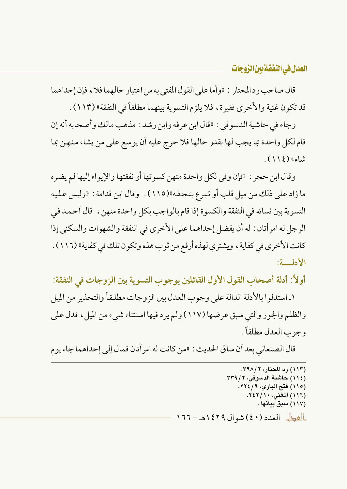قال صاحب رد المحتار : «وأما على القول المفتى به من اعتبار حالهما فلا ، فإن إحداهما قد تكون غنية والأخرى فقيرة، فلا يلزم التسوية بينهما مطلقاً في النفقة» (١١٣) .

وجاء في حاشية الدسوقي : «قال ابن عرفه وابن رشد : مذهب مالك وأصحابه أنه إن قام لكل واحدة بما يجب لها بقدر حالها فلا حرج عليه أن يوسع على من يشاء منهن بما شاء» (١١٤).

وقال ابن حجر : «فإن وفي لكل واحدة منهن كسوتها أو نفقتها والإيواء إليها لم يضره ما زاد على ذلك من ميل قلب أو تبرع بتحفه»(١١٥) . وقال ابن قدامة : «وليس عليه التسوية بين نسائه في النفقة والكسوة إذا قام بالواجب بكل واحدة منهن، قال أحمد في الرجل له امر أتان : له أن يفضل إحداهما على الأخرى في النفقة والشهوات والسكني إذا كانت الأخرى في كفاية ، ويشترى لهذه أرفع من ثوب هذه وتكون تلك في كفاية» (١١٦) . الأدلسة:

أولاً: أدلة أصحاب القول الأول القائلين بوجوب التسوية بين الزوجات في النفقة:

١\_استدلوا بالأدلة الدالة على وجوب العدل بين الزوجات مطلقاً والتحذير من الميل والظلم والجور والتي سبق عرضها (١١٧) ولم يرد فيها استثناء شيء من الميل، فدل علي وجوب العدل مطلقاً .

قال الصنعاني بعد أن ساق الحديث : «من كانت له امر أتان فمال إلى إحداهما جاء يو م

(١١٣) رد المحتار، ٣٩٨/٢. (١١٤) حاشية الدسوقى، ٢ / ٣٣٩. (١١٥) فتح الباري، ٢٢٤/٩. (١١٦) المغنى، ٢٤٢/١٠. (١١٧) سبق بيانها . العطل العدد (٤٠) شوال ١٤٢٩هـ - ١٦٦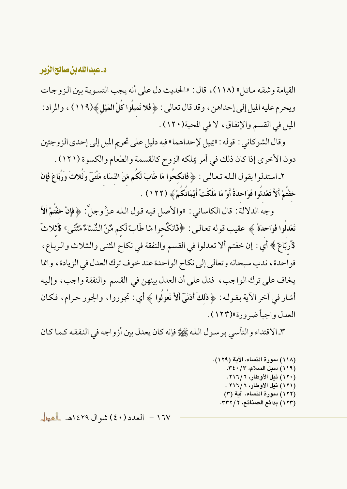القيامة وشقه مائل» (١١٨)، قال: «الحديث دل على أنه يجب التسوية بين الزوجات ويحرم عليه الميل إلى إحداهن، وقد قال تعالى : ﴿ فَلا تَمِيلُوا كُلَّ الْمَيْلِ ﴾(١١٩) ، والمراد : الميل في القسم والإنفاق، لا في المحبة(١٢٠) .

وقال الشو كاني : قوله : «يميل لإحداهما» فيه دليل على تحريم الميل إلى إحدى الزوجتين دون الأخرى إذا كان ذلك في أمر يملكه الزوج كالقسمة والطعام والكسوة (١٢١١) .

٢ـ استدلوا بقول الـله تعـالـي : ﴿ فَانكحُوا مَا طَابَ لَكُم مّنَ النّسَاء مَثْنَيّ وَثُلاثَ وَرُبَاعَ فَإِنْ خفْتُمْ أَلاَّ تَعْدلُوا فَوَاحدَةً أَوْ مَا مَلَكَتْ أَيْمَانُكُمْ ﴾ (١٢٢) .

وجه الدلالة : قال الكاساني : «والأصل فيه قول الله عزَّ وجلَّ : ﴿ فَإِنْ خَفْتُمْ أَلاَّ تَعْدلُوا فَوَاحدَةً ﴾ عقيب قوله تعالى: ﴿فَانكُحوا مّا طَّابّ لّكم مُّنّ النُّسّاءُ مّثَّنى» \$ثلاثّ \$ربّاع ﴾ أي : إن خفتم ألا تعدلوا في القسم والنفقة في نكاح المثنى والثلاث والرباع، فواحدة ، ندب سبحانه وتعالى إلى نكاح الواحدة عند خوف ترك العدل في الزيادة ، وانما يخاف على ترك الواجب، فدل على أن العدل بينهن في القسم والنفقة واجب، وإليه أشار في آخر الآية بـقـولـه : ﴿ ذَلِكَ أَدْنَىٓ أَلاَّ تَعُولُوا ﴾ أي : تجوروا ، والجور حرام، فكـان العدل وإجباً ضرورة»(١٢٣) .

٣ـ الاقتداء والتأسي برسول الله ﷺ فإنه كان يعدل بين أزواجه في النفقه كما كان

(١١٨) سورة النساء، الآية (١٢٩). (١١٩) سبل السلام، ٣٤٠/٣٤٠. (١٢٠) نيل الأوطار، ٢١٦/٦. (١٢١) نيل الأوطار، ٢١٦/٦ . (١٢٢) سورة النساء، آية (٣) (١٢٣) بدائع الصنائع، ٣٣٢/٢.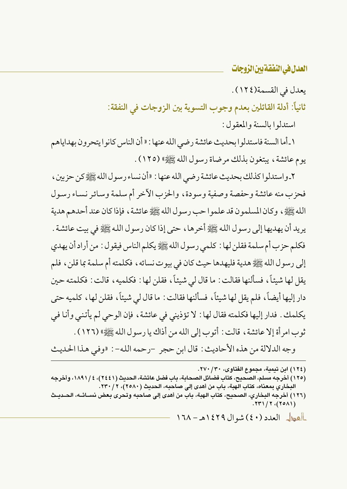يعدل في القسمة (١٢٤).

ثانياً: أدلة القائلين بعدم وجوب التسوية بين الزوجات في النفقة:

استدلوا بالسنة والمعقول:

١\_أما السنة فاستدلو ا بحديث عائشة رضي الله عنها : « أن الناس كانو ا يتحرون بهداياهم يوم عائشة ، يبتغون بذلك مرضاة رسول الله ﷺ» (١٢٥) .

٢ـ واستدلوا كذلك بحديث عائشة رضي الله عنها : «أن نساء رسول الله ﷺ كن حزبين ، فحزب منه عائشة وحفصة وصفية وسودة، والحزب الآخر أم سلمة وسائر نساء رسول الله ﷺ، وكان المسلمون قد علموا حب رسول الله ﷺ عائشة، فإذا كان عند أحدهم هدية يريد أن يهديها إلى رسول الله ﷺ أخرها ، حتى إذا كان رسول الله ﷺ في بيت عائشة . فكلم حزب أم سلمة فقلن لها : كلمي رسول الله ﷺ يكلم الناس فيقول : من أراد أن يهدي إلى رسول الله ﷺ هدية فليهدها حيث كان في بيوت نسائه ، فكلمته أم سلمة بما قلن ، فلم يقل لها شيئاً، فسألنها فقالت: ما قال لي شيئاً، فقلن لها: فكلميه، قالت: فكلمته حين دار إليها أيضاً، فلم يقل لها شيئاً، فسألنها فقالت : ما قال لي شيئاً، فقلن لها، كلميه حتى يكلمك . فدار إليها فكلمته فقال لها : لا تؤذيني في عائشة ، فإن الوحي لم يأتني وأنا في ثوب امر أة إلا عائشة ، قالت : أتوب إلى الله من أذاك يا رسول الله ﷺ» (١٢٦) .

وجه الدلالة من هذه الأحاديث : قال ابن حجر -رحمه الله- : «وفي هذا الحديث

(١٢٤) ابن تبمية، مجموع الفتاوي، ٢٧٠/٣٠.

(١٢٥) أخرجه مسلم، الصحيح، كتاب فضائل الصحابة، باب فضل عائشة، الحديث (٢٤٤١)، ٤ / ١٨٩١، وأخرجه البخاري بمعناه، كتاب الهبة، باب من أهدى إلى صاحبه، الحديث (٢٥٨٠)، ٢٣٠/٢٠.

(١٢٦) أخرجه البخاري، الصحيح، كتاب الهبة، باب من أهدى إلى صاحبه وتحرى بعض نســائــه، الحــديــث  $.771/7.701)$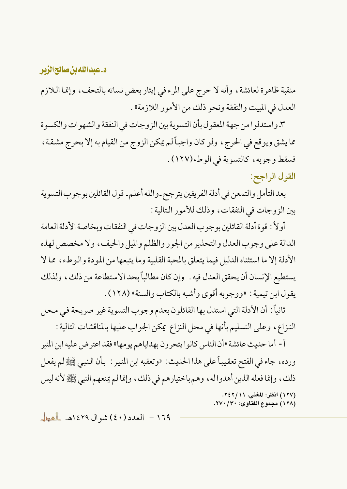د.عبدالله بن صالحالزیر

منقبة ظاهرة لعائشة ، وأنه لا حرج على المرء في إيثار بعض نسائه بالتحف ، وإنما اللازم العدل في المبيت والنفقة ونحو ذلك من الأمور اللازمة» .

٣ـ واستدلوا من جهة المعقول بأن التسوية بين الزوجات في النفقة والشهوات والكسوة مما يشق ويوقع في الحرج، ولو كان واجباً لم يمكن الزوج من القيام به إلا بحرج مشقة، فسقط وجوبه، كالتسوية في الوطء(١٢٧).

القول الراجح:

بعد التأمل والتمعن في أدلة الفريقين يترجح-والله أعلم- قول القائلين بوجوب التسوية بين الزوجات في النفقات، وذلك للأمور التالية :

أولاً : قو ة أدلة القائلين بو جوب العدل بين الز وجات في النفقات وبخاصة الأدلة العامة الدالة على وجوب العدل والتحذير من الجور والظلم والميل والحيف، ولا مخصص لهذه الأدلة إلا ما استثناه الدليل فيما يتعلق بالمحبة القلبية وما يتبعها من المودة والوطء، مما لا يستطيع الإنسان أن يحقق العدل فيه . وإن كان مطالباً بحد الاستطاعة من ذلك، ولذلك يقول ابن تيمية : «ووجوبه أقوى وأشبه بالكتاب والسنة» (١٢٨) .

ثانياً : أن الأدلة التي استدل بها القائلون بعدم وجوب التسوية غير صريحة في محل النزاع، وعلى التسليم بأنها في محل النزاع يمكن الجواب عليها بالمناقشات التالية :

أ - أما حديث عائشة «أن الناس كانوا يتحرون بهداياهم يومها» فقد اعترض عليه ابن المنير ورده، جاء في الفتح تعقيباً على هذا الحديث : «وتعقبه ابن المنير : بأن النبي ﷺ لم يفعل ذلك، وإنما فعله الذين أهدوا له، وهم باختيارهم في ذلك، وإنما لم يمنعهم النبي ﷺ لأنه ليس

(١٢٧) انظر: المغنى، ٢٤٢/١١. (١٢٨) مجموع الفتاوى: ٢٧٠/ ٢٧٠.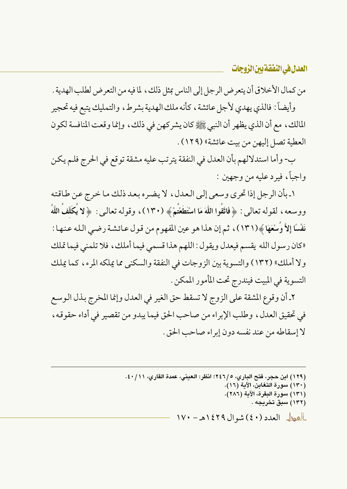من كمال الأخلاق أن يتعرض الرجل إلى الناس بمثل ذلك ، لما فيه من التعرض لطلب الهدية .

وأيضاً: فالذي يهدي لأجل عائشة، كأنه ملك الهدية بشرط، والتمليك يتبع فيه تحجير المالك، مع أن الذي يظهر أن النبي ﷺ كان يشركهن في ذلك، وإنما وقعت المنافسة لكون العطية تصل إليهن من بيت عائشة» (١٢٩).

ب- وأما استدلالهم بأن العدل في النفقة يترتب عليه مشقة توقع في الحرج فلم يكن واجباً، فيرد عليه من وجهين :

١ بأن الرجل إذا تحري وسعى إلى العدل، لا يضره بعد ذلك ما خرج عن طاقته ووسعه ، لقوله تعالى : ﴿ فَاتَّقُوا اللَّهَ مَا اسْتَطَعْتُمْ ﴾ (١٣٠)، وقوله تعالى : ﴿لا يُكَلِّفُ اللَّهُ نَفْسًا إِلاَّ وُسْعَهَا ﴾(١٣١)، ثم إن هذا هو عين المفهوم من قول عائشة رضي الله عنها : «كان رسول الله يقسم فيعدل ويقول: اللهم هذا قسمي فيما أملك، فلا تلمني فيما تملك ولا أملك» (١٣٢) والتسوية بين الزوجات في النفقة والسكني مما يملكه المرء، كما يملك التسوية في المبيت فيندرج تحت المأمور الممكن .

٢ـ أن وقوع المشقة على الزوج لا تسقط حق الغير في العدل وإنما المخرج بذل الوسع في تحقيق العدل، وطلب الإبراء من صاحب الحق فيما يبدو من تقصير في أداء حقوقه، لا إسقاطه من عند نفسه دون إبراء صاحب الحق .

> (١٢٩) ابن حجر، فتح الباري، ٢٤٦/٥؛ انظر: العيني، عمدة القاري، ١١/ ٤٠. (١٣٠) سورة التغابن، الآية (١٦). (١٣١) سورة البقرة، الآية (٢٨٦). (۱۳۲) سبق تخریجه . العطل العدد (٤٠) شوال ١٤٢٩هـ - ١٧٠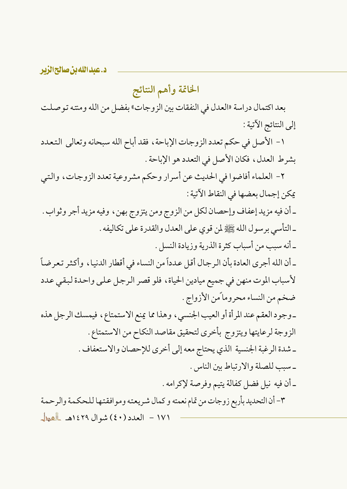د.عبدالله بن صالحالزیر

## الخاتمة وأهم النتائج

بعد اكتمال دراسة «العدل في النفقات بين الزوجات» بفضل من الله ومنته توصلت إلى النتائج الآتية :

١- الأصل في حكم تعدد الزوجات الإباحة، فقد أباح الله سبحانه وتعالى التعدد بشرط العدل، فكان الأصل في التعدد هو الإباحة .

٢- العلماء أفاضوا في الحديث عن أسرار وحكم مشروعية تعدد الزوجات، والتبي يمكن إجمال بعضها في النقاط الآتية :

ـ أن فيه مزيد إعفاف وإحصان لكل من الزوج ومن يتزوج بهن، وفيه مزيد أجر وثواب . ـ التأسي برسول الله ﷺ لمن قوى على العدل والقدرة على تكاليفه .

ـ أنه سبب من أسباب كثرة الذرية وزيادة النسل . ـ أن الله أجرى العادة بأن الرجال أقل عدداً من النساء في أقطار الدنيا ، وأكثر تعرضاً لأسباب الموت منهن في جميع ميادين الحياة، فلو قصر الرجل على واحدة لبقى عدد ضخم من النساء محروماً من الأزواج .

ـ وجود العقم عند المرأة أو العيب الجنسي، وهذا مما يمنع الاستمتاع، فيمسك الرجل هذه الزوجة لرعايتها ويتزوج بأخرى لتحقيق مقاصد النكاح من الاستمتاع . ـ شدة الرغبة الجنسية الذي يحتاج معه إلى أخرى للإحصان والاستعفاف . ـ سبب للصلة والارتباط بين الناس .

ـ أن فيه نيل فضل كفالة يتيم وفرصة لإكرامه .

٣- أن التحديد بأربع زوجات من تمام نعمته و كمال شريعته وموافقتها للحكمة والرحمة ١٧١ - العدد (٤٠) شوال ١٤٢٩هـ العطل